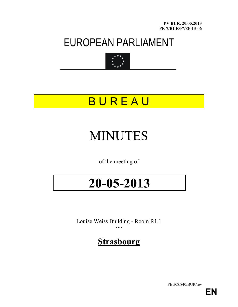PV BUR. 20.05.2013 PE-7/BUR/PV/2013-06

### EUROPEAN PARLIAMENT



## **BUREAU**

# MINUTES

of the meeting of

# 20-05-2013

Louise Weiss Building - Room R1.1 - - -

### **Strasbourg**

PE 508.840/BUR/rev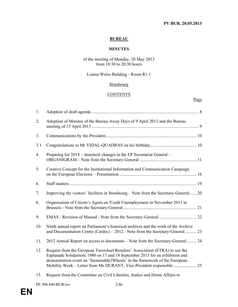#### PV BUR. 20.05.2013

#### BUREAU

#### MINUTES

#### of the meeting of Monday, 20 May 2013 from 18:30 to 20:30 hours

#### Louise Weiss Building - Room R1.1

#### **Strasbourg**

#### **CONTENTS**

#### Page

| 1.             |                                                                                                                                                                                                                                             |  |
|----------------|---------------------------------------------------------------------------------------------------------------------------------------------------------------------------------------------------------------------------------------------|--|
| 2.             | Adoption of Minutes of the Bureau Away Days of 9 April 2013 and the Bureau                                                                                                                                                                  |  |
| 3 <sub>1</sub> |                                                                                                                                                                                                                                             |  |
| 3.1.           |                                                                                                                                                                                                                                             |  |
| 4.             | Preparing for 2014 – structural changes in the EP Secretariat General –                                                                                                                                                                     |  |
| 5.             | Creative Concept for the Institutional Information and Communication Campaign                                                                                                                                                               |  |
| 6.             |                                                                                                                                                                                                                                             |  |
| 7.             | Improving the visitors' facilities in Strasbourg – Note from the Secretary-General  20                                                                                                                                                      |  |
| 8.             | Organisation of Citizen's Agora on Youth Unemployment in November 2013 in                                                                                                                                                                   |  |
| 9.             |                                                                                                                                                                                                                                             |  |
| 10.            | Ninth annual report on Parliament's historical archives and the work of the Archive<br>and Documentation Centre (Cardoc) – 2012 - Note from the Secretary-General 23                                                                        |  |
| 11.            | 2012 Annual Report on access to documents – Note from the Secretary-General 24                                                                                                                                                              |  |
| 12.            | Request from the European Twowheel Retailers' Association (ETRA) to use the<br>Esplanade Solidarność 1980 on 17 and 18 September 2013 for an exhibition and<br>demonstration event on 'Sustainable2Wheels' in the framework of the European |  |
|                | والممار المستحدث والمستنقص والمستحدث والمستحدث                                                                                                                                                                                              |  |

13. Request from the Committee on Civil Liberties, Justice and Home Affairs to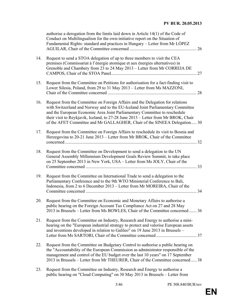|     | authorise a derogation from the limits laid down in Article 14(1) of the Code of<br>Conduct on Multilingualism for the own-initiative report on the Situation of<br>Fundamental Rights: standard and practices in Hungary - Letter from Mr LOPEZ<br>26                                                                                                                                                             |
|-----|--------------------------------------------------------------------------------------------------------------------------------------------------------------------------------------------------------------------------------------------------------------------------------------------------------------------------------------------------------------------------------------------------------------------|
| 14. | Request to send a STOA delegation of up to three members to visit the CEA<br>premises (Commissariat à l'énergie atomique et aux énergies alternatives) in<br>Grenoble and Chambery from 23 to 24 May 2013 – Letter from Mr CORREIA DE                                                                                                                                                                              |
| 15. | Request from the Committee on Petitions for authorisation for a fact-finding visit to<br>Lower Silesia, Poland, from 29 to 31 May 2013 - Letter from Ms MAZZONI,                                                                                                                                                                                                                                                   |
| 16. | Request from the Committee on Foreign Affairs and the Delegation for relations<br>with Switzerland and Norway and to the EU-Iceland Joint Parliamentary Committee<br>and the European Economic Area Joint Parliamentary Committee to reschedule<br>their visit to Reykjavik, Iceland, to 27-28 June 2013 - Letter from Mr BROK, Chair<br>of the AFET Committee and Mr GALLAGHER, Chair of the SINEEA Delegation 30 |
| 17. | Request from the Committee on Foreign Affairs to reschedule its visit to Bosnia and<br>Herzegovina to 20-21 June 2013 – Letter from Mr BROK, Chair of the Committee                                                                                                                                                                                                                                                |
| 18. | Request from the Committee on Development to send a delegation to the UN<br>General Assembly Millennium Development Goals Review Summit, to take place<br>on 25 September 2013 in New York, USA - Letter from Ms JOLY, Chair of the<br>33                                                                                                                                                                          |
| 19. | Request from the Committee on International Trade to send a delegation to the<br>Parliamentary Conference and to the 9th WTO Ministerial Conference to Bali,<br>Indonesia, from 2 to 6 December 2013 – Letter from Mr MOREIRA, Chair of the                                                                                                                                                                        |
| 20. | Request from the Committee on Economic and Monetary Affairs to authorise a<br>public hearing on the Foreign Account Tax Compliance Act on 27 and 28 May<br>2013 in Brussels – Letter from Ms BOWLES, Chair of the Committee concerned  36                                                                                                                                                                          |
| 21. | Request from the Committee on Industry, Research and Energy to authorise a mini-<br>hearing on the "European industrial strategy to protect and valorise European assets<br>and inventions developed in relation to Galileo" on 19 June 2013 in Brussels -                                                                                                                                                         |
| 22. | Request from the Committee on Budgetary Control to authorise a public hearing on<br>the "Accountability of the European Commission as administrator responsible of the<br>management and control of the EU budget over the last 10 years" on 17 September<br>2013 in Brussels – Letter from Mr THEURER, Chair of the Committee concerned  38                                                                       |
| 23. | Request from the Committee on Industry, Research and Energy to authorise a                                                                                                                                                                                                                                                                                                                                         |

public hearing on "Cloud Computing" on 30 May 2013 in Brussels – Letter from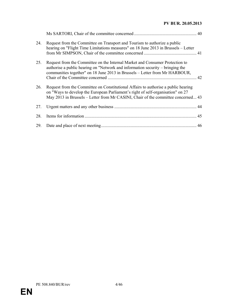#### PV BUR. 20.05.2013

| 24. | Request from the Committee on Transport and Tourism to authorize a public<br>hearing on "Flight Time Limitations measures" on 18 June 2013 in Brussels - Letter                                                                                            |  |
|-----|------------------------------------------------------------------------------------------------------------------------------------------------------------------------------------------------------------------------------------------------------------|--|
| 25. | Request from the Committee on the Internal Market and Consumer Protection to<br>authorise a public hearing on "Network and information security – bringing the<br>communities together" on 18 June 2013 in Brussels – Letter from Mr HARBOUR,              |  |
| 26. | Request from the Committee on Constitutional Affairs to authorise a public hearing<br>on "Ways to develop the European Parliament's right of self-organisation" on 27<br>May 2013 in Brussels – Letter from Mr CASINI, Chair of the committee concerned 43 |  |
| 27. |                                                                                                                                                                                                                                                            |  |
| 28. |                                                                                                                                                                                                                                                            |  |
| 29. |                                                                                                                                                                                                                                                            |  |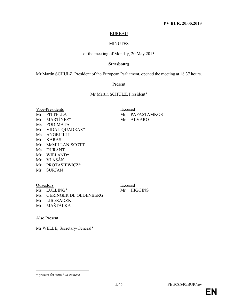#### BUREAU

#### MINUTES

#### of the meeting of Monday, 20 May 2013

#### **Strasbourg**

Mr Martin SCHULZ, President of the European Parliament, opened the meeting at 18.37 hours.

#### Present

Mr Martin SCHULZ, President\*

| Vice-Presidents |                  |  |  |  |
|-----------------|------------------|--|--|--|
| Mr              | <b>PITTELLA</b>  |  |  |  |
| Mr              | MARTÍNEZ*        |  |  |  |
| Ms              | <b>PODIMATA</b>  |  |  |  |
| Mr              | VIDAL-QUADRAS*   |  |  |  |
| Ms              | <b>ANGELILLI</b> |  |  |  |
| Mr              | <b>KARAS</b>     |  |  |  |
| Mr              | McMILLAN-SCOTT   |  |  |  |
| Ms              | <b>DURANT</b>    |  |  |  |
| Mr              | WIELAND*         |  |  |  |
| Mr              | <b>VLASÁK</b>    |  |  |  |
| Mr              | PROTASIEWICZ*    |  |  |  |
| Mr              | <b>SURJÁN</b>    |  |  |  |
|                 |                  |  |  |  |

Excused Mr PAPASTAMKOS Mr ALVARO

Quaestors Excused Ms LULLING\* Mr HIGGINS Ms GERINGER DE OEDENBERG Mr LIBERADZKI Mr MAŠTÁLKA

Also Present

 $\ddot{\phantom{a}}$ 

Mr WELLE, Secretary-General\*

<sup>\*</sup> present for item 6 in camera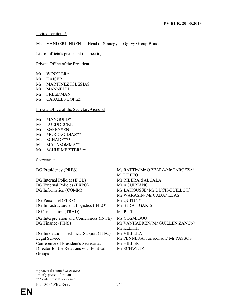#### Invited for item 5

#### Ms VANDERLINDEN Head of Strategy at Ogilvy Group Brussels

List of officials present at the meeting:

Private Office of the President

- Mr WINKLER\*
- Mr KAISER
- Ms MARTINEZ IGLESIAS
- Mr MANNELLI
- Mr FREEDMAN
- Ms CASALES LOPEZ

Private Office of the Secretary-General

Mr MANGOLD\* Ms LUEDDECKE Mr SØRENSEN Mr MORENO DIAZ\*\* Ms SCHADE\*\*\* Ms MALASOMMA\*\* Mr SCHULMEISTER\*\*\*

**Secretariat** 

DG Internal Policies (IPOL) Mr RIBERA d'ALCALA DG External Policies (EXPO) Mr AGUIRIANO DG Information (COMM) Ms LAHOUSSE/ Mr DUCH-GUILLOT/ DG Personnel (PERS) Mr QUITIN\* DG Infrastructure and Logistics (INLO) Mr STRATIGAKIS DG Translation (TRAD) Ms PITT

DG Interpretation and Conferences (INTE) Ms COSMIDOU

DG Innovation, Technical Support (ITEC) Mr VILELLA Conference of President's Secretariat Mr HILLER Director for the Relations with Political Groups

DG Presidency (PRES) Ms RATTI\*/ Mr O'BEARA/Mr CAROZZA/ Mr DE FEO Mr WARASIN/ Ms CABANELAS DG Finance (FINS) Mr VANHAEREN/ Mr GUILLEN ZANON/ Mr KLETHI Legal Service Mr PENNERA, Jurisconsult/ Mr PASSOS Mr SCHWETZ

 $\ddot{\phantom{a}}$ \* present for item 6 in camera

<sup>\*\*</sup> only present for item 4

<sup>\*\*\*</sup> only present for item 5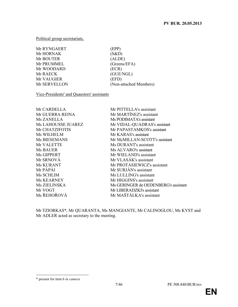Political group secretariats,

| Mr RYNGAERT       | (EPP)                  |
|-------------------|------------------------|
| <b>Mr HORNAK</b>  | (S&D)                  |
| Mr BOUTER         | (ALDE)                 |
| <b>Mr PRUMMEL</b> | (Greens/EFA)           |
| Mr WOODARD        | (ECR)                  |
| Mr RAECK          | (GUE/NGL)              |
| <b>Mr VAUGIER</b> | (EFD)                  |
| Mr SERVELLON      | (Non-attached Members) |
|                   |                        |

Vice-Presidents' and Quaestors' assistants

| Mr CARDELLA               | Mr PITTELLA's assistant              |
|---------------------------|--------------------------------------|
| Mr GUERRA REINA           | Mr MARTÍNEZ's assistant              |
| Ms ZANELLA                | Ms PODIMATA's assistant              |
| <b>Ms LAHOUSSE JUAREZ</b> | Mr VIDAL-QUADRAS's assistant         |
| Mr CHATZIFOTIS            | Mr PAPASTAMKOS's assistant           |
| Ms WILHELM                | Mr KARAS's assistant                 |
| <b>Ms BIESEMANS</b>       | Mr McMILLAN-SCOTT's assistant        |
| Mr VALETTE                | Ms DURANT's assistant                |
| Ms BAUER                  | Ms ALVARO's assistant                |
| Ms GIPPERT                | Mr WIELAND's assistant               |
| Mr SRNOVÁ                 | Mr VLASÁK's assistant                |
| Ms KURANT                 | Mr PROTASIEWICZ's assistant          |
| Mr PÁPÁI                  | Mr SURJÁN's assistant                |
| Ms SCHLIM                 | Ms LULLING's assistant               |
| Ms KEARNEY                | Mr HIGGINS's assistant               |
| Ms ZIELINSKA              | Ms GERINGER de OEDENBERG's assistant |
| Mr VOGT                   | Mr LIBERADZKI's assistant            |
| Ms ŘEHOŘOVÁ               | Mr MAŠTÁLKA's assistant              |
|                           |                                      |

Mr TZIORKAS\*, Mr QUARANTA, Ms MANGIANTE, Mr CALINOGLOU, Ms KYST and Mr ADLER acted as secretary to the meeting.

 $\ddot{\phantom{a}}$ 

<sup>\*</sup> present for item 6 in camera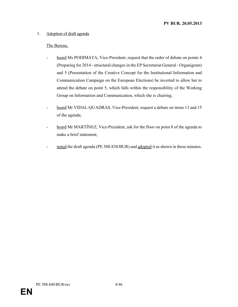#### 1. Adoption of draft agenda

- heard Ms PODIMATA, Vice-President, request that the order of debate on points 4 (Preparing for 2014 - structural changes in the EP Secretariat General - Organigram) and 5 (Presentation of the Creative Concept for the Institutional Information and Communication Campaign on the European Elections) be inverted to allow her to attend the debate on point 5, which falls within the responsibility of the Working Group on Information and Communication, which she is chairing;
- heard Mr VIDAL-QUADRAS, Vice-President, request a debate on items 13 and 15 of the agenda;
- heard Mr MARTÍNEZ, Vice-President, ask for the floor on point 8 of the agenda to make a brief statement;
- noted the draft agenda (PE 508.838/BUR) and adopted it as shown in these minutes.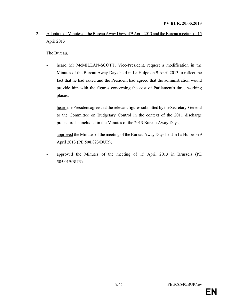#### 2. Adoption of Minutes of the Bureau Away Days of 9 April 2013 and the Bureau meeting of 15 April 2013

- heard Mr McMILLAN-SCOTT, Vice-President, request a modification in the Minutes of the Bureau Away Days held in La Hulpe on 9 April 2013 to reflect the fact that he had asked and the President had agreed that the administration would provide him with the figures concerning the cost of Parliament's three working places;
- heard the President agree that the relevant figures submitted by the Secretary-General to the Committee on Budgetary Control in the context of the 2011 discharge procedure be included in the Minutes of the 2013 Bureau Away Days;
- approved the Minutes of the meeting of the Bureau Away Days held in La Hulpe on 9 April 2013 (PE 508.823/BUR);
- approved the Minutes of the meeting of 15 April 2013 in Brussels (PE 505.019/BUR).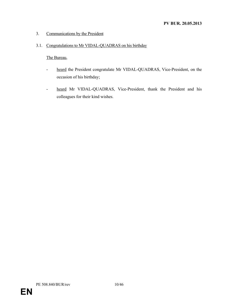#### 3. Communications by the President

#### 3.1. Congratulations to Mr VIDAL-QUADRAS on his birthday

- heard the President congratulate Mr VIDAL-QUADRAS, Vice-President, on the occasion of his birthday;
- heard Mr VIDAL-QUADRAS, Vice-President, thank the President and his colleagues for their kind wishes.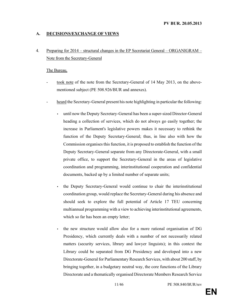#### A. DECISIONS/EXCHANGE OF VIEWS

4. Preparing for 2014 – structural changes in the EP Secretariat General – ORGANIGRAM – Note from the Secretary-General

- took note of the note from the Secretary-General of 14 May 2013, on the abovementioned subject (PE 508.926/BUR and annexes).
- heard the Secretary-General present his note highlighting in particular the following:
	- until now the Deputy Secretary-General has been a super-sized Director-General heading a collection of services, which do not always go easily together; the increase in Parliament's legislative powers makes it necessary to rethink the function of the Deputy Secretary-General; thus, in line also with how the Commission organises this function, it is proposed to establish the function of the Deputy Secretary-General separate from any Directorate-General, with a small private office, to support the Secretary-General in the areas of legislative coordination and programming, interinstitutional cooperation and confidential documents, backed up by a limited number of separate units;
	- the Deputy Secretary-General would continue to chair the interinstitutional coordination group, would replace the Secretary-General during his absence and should seek to explore the full potential of Article 17 TEU concerning multiannual programming with a view to achieving interinstitutional agreements, which so far has been an empty letter;
	- the new structure would allow also for a more rational organisation of DG Presidency, which currently deals with a number of not necessarily related matters (security services, library and lawyer linguists); in this context the Library could be separated from DG Presidency and developed into a new Directorate-General for Parliamentary Research Services, with about 200 staff, by bringing together, in a budgetary neutral way, the core functions of the Library Directorate and a thematically organised Directorate Members Research Service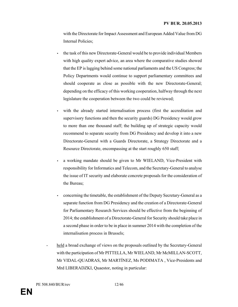with the Directorate for Impact Assessment and European Added Value from DG Internal Policies;

- the task of this new Directorate-General would be to provide individual Members with high quality expert advice, an area where the comparative studies showed that the EP is lagging behind some national parliaments and the US Congress; the Policy Departments would continue to support parliamentary committees and should cooperate as close as possible with the new Directorate-General; depending on the efficacy of this working cooperation, halfway through the next legislature the cooperation between the two could be reviewed;
- with the already started internalisation process (first the accreditation and supervisory functions and then the security guards) DG Presidency would grow to more than one thousand staff; the building up of strategic capacity would recommend to separate security from DG Presidency and develop it into a new Directorate-General with a Guards Directorate, a Strategy Directorate and a Resource Directorate, encompassing at the start roughly 650 staff;
- a working mandate should be given to Mr WIELAND, Vice-President with responsibility for Informatics and Telecom, and the Secretary-General to analyse the issue of IT security and elaborate concrete proposals for the consideration of the Bureau;
- concerning the timetable, the establishment of the Deputy Secretary-General as a separate function from DG Presidency and the creation of a Directorate-General for Parliamentary Research Services should be effective from the beginning of 2014; the establishment of a Directorate-General for Security should take place in a second phase in order to be in place in summer 2014 with the completion of the internalisation process in Brussels;
- held a broad exchange of views on the proposals outlined by the Secretary-General with the participation of Mr PITTELLA, Mr WIELAND, Mr McMILLAN-SCOTT, Mr VIDAL-QUADRAS, Mr MARTÍNEZ, Ms PODIMATA , Vice-Presidents and Mrd LIBERADZKI, Quaestor, noting in particular: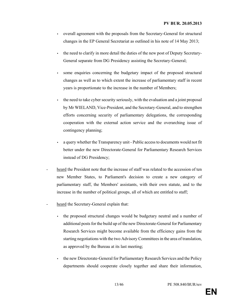- overall agreement with the proposals from the Secretary-General for structural changes in the EP General Secretariat as outlined in his note of 14 May 2013;
- the need to clarify in more detail the duties of the new post of Deputy Secretary-General separate from DG Presidency assisting the Secretary-General;
- some enquiries concerning the budgetary impact of the proposed structural changes as well as to which extent the increase of parliamentary staff in recent years is proportionate to the increase in the number of Members;
- the need to take cyber security seriously, with the evaluation and a joint proposal by Mr WIELAND, Vice-President, and the Secretary-General, and to strengthen efforts concerning security of parliamentary delegations, the corresponding cooperation with the external action service and the overarching issue of contingency planning;
- a query whether the Transparency unit Public access to documents would not fit better under the new Directorate-General for Parliamentary Research Services instead of DG Presidency;
- heard the President note that the increase of staff was related to the accession of ten new Member States, to Parliament's decision to create a new category of parliamentary staff, the Members' assistants, with their own statute, and to the increase in the number of political groups, all of which are entitled to staff;
- heard the Secretary-General explain that:
	- the proposed structural changes would be budgetary neutral and a number of additional posts for the build up of the new Directorate-General for Parliamentary Research Services might become available from the efficiency gains from the starting negotiations with the two Advisory Committees in the area of translation, as approved by the Bureau at its last meeting;
	- the new Directorate-General for Parliamentary Research Services and the Policy departments should cooperate closely together and share their information,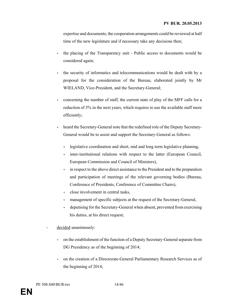expertise and documents; the cooperation arrangements could be reviewed at half time of the new legislature and if necessary take any decisions then;

- the placing of the Transparency unit Public access to documents would be considered again;
- the security of informatics and telecommunications would be dealt with by a proposal for the consideration of the Bureau, elaborated jointly by Mr WIELAND, Vice-President, and the Secretary-General;
- concerning the number of staff, the current state of play of the MFF calls for a reduction of 5% in the next years, which requires to use the available staff more efficiently;
- heard the Secretary-General note that the redefined role of the Deputy Secretary-General would be to assist and support the Secretary-General as follows:
	- legislative coordination and short, mid and long term legislative planning,
	- inter-institutional relations with respect to the latter (European Council, European Commission and Council of Ministers),
	- in respect to the above direct assistance to the President and to the preparation and participation of meetings of the relevant governing bodies (Bureau, Conference of Presidents, Conference of Committee Chairs),
	- close involvement in central tasks,
	- management of specific subjects at the request of the Secretary-General,
	- deputising for the Secretary-General when absent, prevented from exercising his duties, at his direct request;
- decided unanimously:
	- on the establishment of the function of a Deputy Secretary-General separate from DG Presidency as of the beginning of 2014;
	- on the creation of a Directorate-General Parliamentary Research Services as of the beginning of 2014;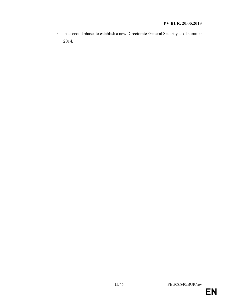#### PV BUR. 20.05.2013

• in a second phase, to establish a new Directorate-General Security as of summer 2014.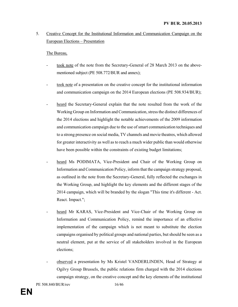#### 5. Creative Concept for the Institutional Information and Communication Campaign on the European Elections – Presentation

- took note of the note from the Secretary-General of 28 March 2013 on the abovementioned subject (PE 508.772/BUR and annex);
- took note of a presentation on the creative concept for the institutional information and communication campaign on the 2014 European elections (PE 508.934/BUR);
- heard the Secretary-General explain that the note resulted from the work of the Working Group on Information and Communication, stress the distinct differences of the 2014 elections and highlight the notable achievements of the 2009 information and communication campaign due to the use of smart communication techniques and to a strong presence on social media, TV channels and movie theatres, which allowed for greater interactivity as well as to reach a much wider public than would otherwise have been possible within the constraints of existing budget limitations;
- heard Ms PODIMATA, Vice-President and Chair of the Working Group on Information and Communication Policy, inform that the campaign strategy proposal, as outlined in the note from the Secretary-General, fully reflected the exchanges in the Working Group, and highlight the key elements and the different stages of the 2014 campaign, which will be branded by the slogan "This time it's different - Act. React. Impact.";
- heard Mr KARAS, Vice-President and Vice-Chair of the Working Group on Information and Communication Policy, remind the importance of an effective implementation of the campaign which is not meant to substitute the election campaigns organised by political groups and national parties, but should be seen as a neutral element, put at the service of all stakeholders involved in the European elections;
- observed a presentation by Ms Kristel VANDERLINDEN, Head of Strategy at Ogilvy Group Brussels, the public relations firm charged with the 2014 elections campaign strategy, on the creative concept and the key elements of the institutional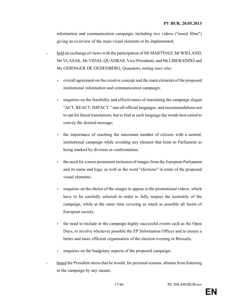information and communication campaign, including two videos ("mood films") giving an overview of the main visual elements to be implemented;

- held an exchange of views with the participation of Mr MARTÍNEZ, Mr WIELAND, Mr VLASÁK, Mr VIDAL-QUADRAS, Vice-Presidents, and Mr LIBERADZKI and Ms GERINGER DE OEDENBERG, Quaestors, noting inter alia:
	- overall agreement on the creative concept and the main elements of the proposed institutional information and communication campaign;
	- enquiries on the feasibility and effectiveness of translating the campaign slogan "ACT. REACT. IMPACT." into all official languages, and recommendations not to opt for literal translations, but to find in each language the words best suited to convey the desired message;
	- the importance of reaching the maximum number of citizens with a neutral, institutional campaign while avoiding any element that hints to Parliament as being marked by division or confrontation;
	- the need for a more prominent inclusion of images from the European Parliament and its name and logo, as well as the word "elections" in some of the proposed visual elements;
	- enquiries on the choice of the images to appear in the promotional videos, which have to be carefully selected in order to fully respect the neutrality of the campaign, while at the same time covering as much as possible all facets of European society;
	- the need to include in the campaign highly successful events such as the Open Days, to involve whenever possible the EP Information Offices and to ensure a better and more efficient organisation of the election evening in Brussels;
	- enquiries on the budgetary aspects of the proposed campaign;
- heard the President stress that he would, for personal reasons, abstain from featuring in the campaign by any means;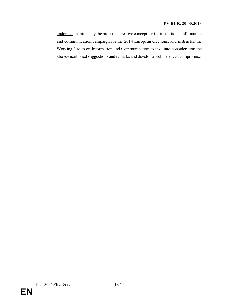#### PV BUR. 20.05.2013

- endorsed unanimously the proposed creative concept for the institutional information and communication campaign for the 2014 European elections, and instructed the Working Group on Information and Communication to take into consideration the above-mentioned suggestions and remarks and develop a well balanced compromise.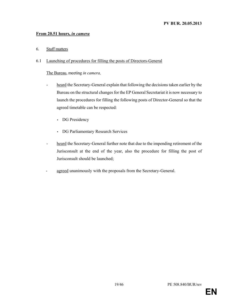#### From 20.51 hours, in camera

6. Staff matters

#### 6.1 Launching of procedures for filling the posts of Directors-General

The Bureau, meeting in camera,

- heard the Secretary-General explain that following the decisions taken earlier by the Bureau on the structural changes for the EP General Secretariat it is now necessary to launch the procedures for filling the following posts of Director-General so that the agreed timetable can be respected:
	- DG Presidency
	- DG Parliamentary Research Services
- heard the Secretary-General further note that due to the impending retirement of the Jurisconsult at the end of the year, also the procedure for filling the post of Jurisconsult should be launched;
- agreed unanimously with the proposals from the Secretary-General.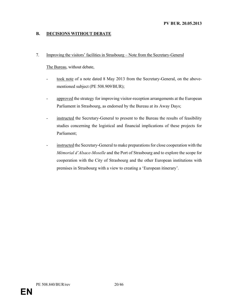#### B. DECISIONS WITHOUT DEBATE

#### 7. Improving the visitors' facilities in Strasbourg – Note from the Secretary-General

- took note of a note dated 8 May 2013 from the Secretary-General, on the abovementioned subject (PE 508.909/BUR);
- approved the strategy for improving visitor-reception arrangements at the European Parliament in Strasbourg, as endorsed by the Bureau at its Away Days;
- instructed the Secretary-General to present to the Bureau the results of feasibility studies concerning the logistical and financial implications of these projects for Parliament;
- instructed the Secretary-General to make preparations for close cooperation with the Mémorial d'Alsace-Moselle and the Port of Strasbourg and to explore the scope for cooperation with the City of Strasbourg and the other European institutions with premises in Strasbourg with a view to creating a 'European itinerary'.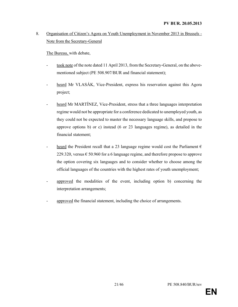#### 8. Organisation of Citizen's Agora on Youth Unemployment in November 2013 in Brussels - Note from the Secretary-General

The Bureau, with debate,

- took note of the note dated 11 April 2013, from the Secretary-General, on the abovementioned subject (PE 508.907/BUR and financial statement);
- heard Mr VLASÁK, Vice-President, express his reservation against this Agora project;
- heard Mr MARTÍNEZ, Vice-President, stress that a three languages interpretation regime would not be appropriate for a conference dedicated to unemployed youth, as they could not be expected to master the necessary language skills, and propose to approve options b) or c) instead (6 or 23 languages regime), as detailed in the financial statement;
- heard the President recall that a 23 language regime would cost the Parliament  $\epsilon$ 229.320, versus  $\epsilon$  50.960 for a 6 language regime, and therefore propose to approve the option covering six languages and to consider whether to choose among the official languages of the countries with the highest rates of youth unemployment;
- approved the modalities of the event, including option b) concerning the interpretation arrangements;
- approved the financial statement, including the choice of arrangements.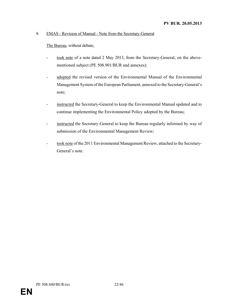#### 9. EMAS - Revision of Manual - Note from the Secretary-General

- took note of a note dated 2 May 2013, from the Secretary-General, on the abovementioned subject (PE 508.901/BUR and annexes);
- adopted the revised version of the Environmental Manual of the Environmental Management System of the European Parliament, annexed to the Secretary-General's note;
- instructed the Secretary-General to keep the Environmental Manual updated and to continue implementing the Environmental Policy adopted by the Bureau;
- instructed the Secretary-General to keep the Bureau regularly informed by way of submission of the Environmental Management Review;
- took note of the 2011 Environmental Management Review, attached to the Secretary-General's note.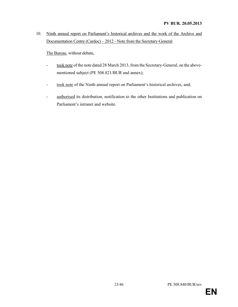10. Ninth annual report on Parliament's historical archives and the work of the Archive and Documentation Centre (Cardoc) – 2012 - Note from the Secretary-General

The Bureau, without debate,

- took note of the note dated 28 March 2013, from the Secretary-General, on the abovementioned subject (PE 508.821/BUR and annex);
- took note of the Ninth annual report on Parliament's historical archives, and;
- authorised its distribution, notification to the other Institutions and publication on Parliament's intranet and website.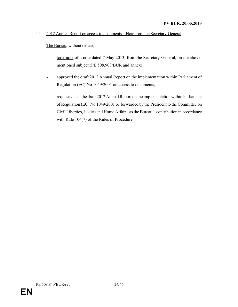#### 11. 2012 Annual Report on access to documents – Note from the Secretary-General

- took note of a note dated 7 May 2013, from the Secretary-General, on the abovementioned subject (PE 508.908/BUR and annex);
- approved the draft 2012 Annual Report on the implementation within Parliament of Regulation (EC) No 1049/2001 on access to documents;
- requested that the draft 2012 Annual Report on the implementation within Parliament of Regulation (EC) No 1049/2001 be forwarded by the President to the Committee on Civil Liberties, Justice and Home Affairs, as the Bureau's contribution in accordance with Rule 104(7) of the Rules of Procedure.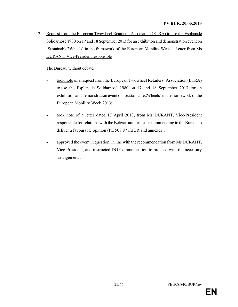12. Request from the European Twowheel Retailers' Association (ETRA) to use the Esplanade Solidarność 1980 on 17 and 18 September 2013 for an exhibition and demonstration event on 'Sustainable2Wheels' in the framework of the European Mobility Week – Letter from Ms DURANT, Vice-President responsible

The Bureau, without debate,

- took note of a request from the European Twowheel Retailers' Association (ETRA) to use the Esplanade Solidarność 1980 on 17 and 18 September 2013 for an exhibition and demonstration event on 'Sustainable2Wheels' in the framework of the European Mobility Week 2013;
- took note of a letter dated 17 April 2013, from Ms DURANT, Vice-President responsible for relations with the Belgian authorities, recommending to the Bureau to deliver a favourable opinion (PE 508.871/BUR and annexes);
- approved the event in question, in line with the recommendation from Ms DURANT, Vice-President, and instructed DG Communication to proceed with the necessary arrangements.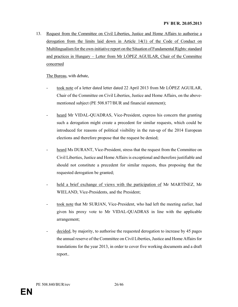13. Request from the Committee on Civil Liberties, Justice and Home Affairs to authorise a derogation from the limits laid down in Article 14(1) of the Code of Conduct on Multilingualism for the own-initiative report on the Situation of Fundamental Rights: standard and practices in Hungary – Letter from Mr LÓPEZ AGUILAR, Chair of the Committee concerned

- took note of a letter dated letter dated 22 April 2013 from Mr LÓPEZ AGUILAR, Chair of the Committee on Civil Liberties, Justice and Home Affairs, on the abovementioned subject (PE 508.877/BUR and financial statement);
- heard Mr VIDAL-QUADRAS, Vice-President, express his concern that granting such a derogation might create a precedent for similar requests, which could be introduced for reasons of political visibility in the run-up of the 2014 European elections and therefore propose that the request be denied;
- heard Ms DURANT, Vice-President, stress that the request from the Committee on Civil Liberties, Justice and Home Affairs is exceptional and therefore justifiable and should not constitute a precedent for similar requests, thus proposing that the requested derogation be granted;
- held a brief exchange of views with the participation of Mr MARTÍNEZ, Mr WIELAND, Vice-Presidents, and the President;
- took note that Mr SURJAN, Vice-President, who had left the meeting earlier, had given his proxy vote to Mr VIDAL-QUADRAS in line with the applicable arrangement;
- decided, by majority, to authorise the requested derogation to increase by 45 pages the annual reserve of the Committee on Civil Liberties, Justice and Home Affairs for translations for the year 2013, in order to cover five working documents and a draft report..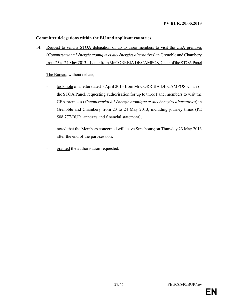#### Committee delegations within the EU and applicant countries

14. Request to send a STOA delegation of up to three members to visit the CEA premises (Commissariat à l'énergie atomique et aux énergies alternatives) in Grenoble and Chambery from 23 to 24 May 2013 – Letter from Mr CORREIA DE CAMPOS, Chair of the STOA Panel

- took note of a letter dated 3 April 2013 from Mr CORREIA DE CAMPOS, Chair of the STOA Panel, requesting authorisation for up to three Panel members to visit the CEA premises (Commissariat à l'énergie atomique et aux énergies alternatives) in Grenoble and Chambery from 23 to 24 May 2013, including journey times (PE 508.777/BUR, annexes and financial statement);
- noted that the Members concerned will leave Strasbourg on Thursday 23 May 2013 after the end of the part-session;
- granted the authorisation requested.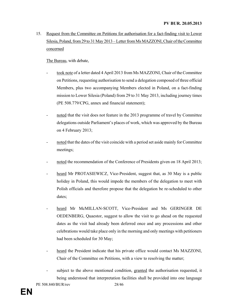15. Request from the Committee on Petitions for authorisation for a fact-finding visit to Lower Silesia, Poland, from 29 to 31 May 2013 – Letter from Ms MAZZONI, Chair of the Committee concerned

The Bureau, with debate,

- took note of a letter dated 4 April 2013 from Ms MAZZONI, Chair of the Committee on Petitions, requesting authorisation to send a delegation composed of three official Members, plus two accompanying Members elected in Poland, on a fact-finding mission to Lower Silesia (Poland) from 29 to 31 May 2013, including journey times (PE 508.779/CPG, annex and financial statement);
- noted that the visit does not feature in the 2013 programme of travel by Committee delegations outside Parliament's places of work, which was approved by the Bureau on 4 February 2013;
- noted that the dates of the visit coincide with a period set aside mainly for Committee meetings;
- noted the recommendation of the Conference of Presidents given on 18 April 2013;
- heard Mr PROTASIEWICZ, Vice-President, suggest that, as 30 May is a public holiday in Poland, this would impede the members of the delegation to meet with Polish officials and therefore propose that the delegation be re-scheduled to other dates;
- heard Mr McMILLAN-SCOTT, Vice-President and Ms GERINGER DE OEDENBERG, Quaestor, suggest to allow the visit to go ahead on the requested dates as the visit had already been deferred once and any processions and other celebrations would take place only in the morning and only meetings with petitioners had been scheduled for 30 May;
- heard the President indicate that his private office would contact Ms MAZZONI, Chair of the Committee on Petitions, with a view to resolving the matter;
- subject to the above mentioned condition, granted the authorisation requested, it being understood that interpretation facilities shall be provided into one language

PE 508.840/BUR/rev 28/46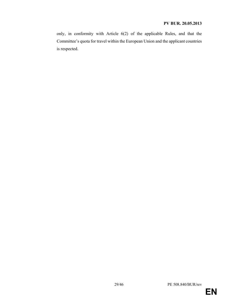only, in conformity with Article 6(2) of the applicable Rules, and that the Committee's quota for travel within the European Union and the applicant countries is respected.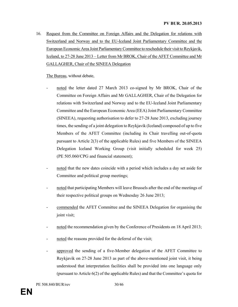16. Request from the Committee on Foreign Affairs and the Delegation for relations with Switzerland and Norway and to the EU-Iceland Joint Parliamentary Committee and the European Economic Area Joint Parliamentary Committee to reschedule their visit to Reykjavik, Iceland, to 27-28 June 2013 – Letter from Mr BROK, Chair of the AFET Committee and Mr GALLAGHER, Chair of the SINEEA Delegation

- noted the letter dated 27 March 2013 co-signed by Mr BROK, Chair of the Committee on Foreign Affairs and Mr GALLAGHER, Chair of the Delegation for relations with Switzerland and Norway and to the EU-Iceland Joint Parliamentary Committee and the European Economic Area (EEA) Joint Parliamentary Committee (SINEEA), requesting authorisation to defer to 27-28 June 2013, excluding journey times, the sending of a joint delegation to Reykjavik (Iceland) composed of up to five Members of the AFET Committee (including its Chair travelling out-of-quota pursuant to Article 2(3) of the applicable Rules) and five Members of the SINEEA Delegation Iceland Working Group (visit initially scheduled for week 25) (PE 505.060/CPG and financial statement);
- noted that the new dates coincide with a period which includes a day set aside for Committee and political group meetings;
- noted that participating Members will leave Brussels after the end of the meetings of their respective political groups on Wednesday 26 June 2013;
- commended the AFET Committee and the SINEEA Delegation for organising the joint visit;
- noted the recommendation given by the Conference of Presidents on 18 April 2013;
- noted the reasons provided for the deferral of the visit;
- approved the sending of a five-Member delegation of the AFET Committee to Reykjavik on 27-28 June 2013 as part of the above-mentioned joint visit, it being understood that interpretation facilities shall be provided into one language only (pursuant to Article 6(2) of the applicable Rules) and that the Committee's quota for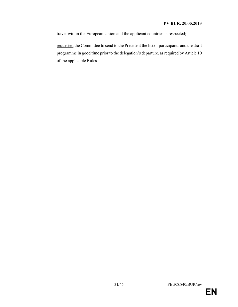travel within the European Union and the applicant countries is respected;

- requested the Committee to send to the President the list of participants and the draft programme in good time prior to the delegation's departure, as required by Article 10 of the applicable Rules.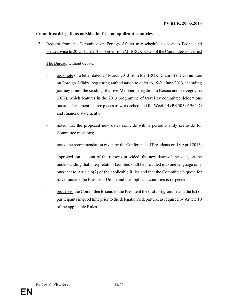#### Committee delegations outside the EU and applicant countries

17. Request from the Committee on Foreign Affairs to reschedule its visit to Bosnia and Herzegovina to 20-21 June 2013 – Letter from Mr BROK, Chair of the Committee concerned

- took note of a letter dated 27 March 2013 from Mr BROK, Chair of the Committee on Foreign Affairs, requesting authorisation to defer to 19-21 June 2013, including journey times, the sending of a five-Member delegation to Bosnia and Herzegovina (BiH), which features in the 2013 programme of travel by committee delegations outside Parliament's three places of work scheduled for Week 14 (PE 505.059/CPG and financial statement);
- noted that the proposed new dates coincide with a period mainly set aside for Committee meetings;
- noted the recommendation given by the Conference of Presidents on 18 April 2013;
- approved, on account of the reasons provided, the new dates of the visit, on the understanding that interpretation facilities shall be provided into one language only pursuant to Article 6(2) of the applicable Rules and that the Committee's quota for travel outside the European Union and the applicant countries is respected;
- requested the Committee to send to the President the draft programme and the list of participants in good time prior to the delegation's departure, as required by Article 10 of the applicable Rules.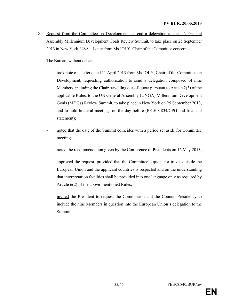18. Request from the Committee on Development to send a delegation to the UN General Assembly Millennium Development Goals Review Summit, to take place on 25 September 2013 in New York, USA – Letter from Ms JOLY, Chair of the Committee concerned

The Bureau, without debate,

- took note of a letter dated 11 April 2013 from Ms JOLY, Chair of the Committee on Development, requesting authorisation to send a delegation composed of nine Members, including the Chair travelling out-of-quota pursuant to Article 2(3) of the applicable Rules, to the UN General Assembly (UNGA) Millennium Development Goals (MDGs) Review Summit, to take place in New York on 25 September 2013, and to hold bilateral meetings on the day before (PE 508.834/CPG and financial statement);
- noted that the date of the Summit coincides with a period set aside for Committee meetings;
- noted the recommendation given by the Conference of Presidents on 16 May 2013;
- approved the request, provided that the Committee's quota for travel outside the European Union and the applicant countries is respected and on the understanding that interpretation facilities shall be provided into one language only as required by Article 6(2) of the above-mentioned Rules;
- invited the President to request the Commission and the Council Presidency to include the nine Members in question into the European Union's delegation to the Summit.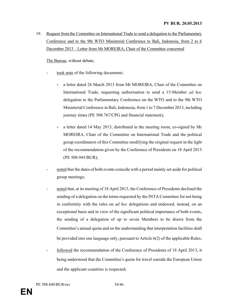19. Request from the Committee on International Trade to send a delegation to the Parliamentary Conference and to the 9th WTO Ministerial Conference to Bali, Indonesia, from 2 to 6 December 2013 – Letter from Mr MOREIRA, Chair of the Committee concerned

- took note of the following documents:
	- a letter dated 26 March 2013 from Mr MOREIRA, Chair of the Committee on International Trade, requesting authorisation to send a 15-Member ad hoc delegation to the Parliamentary Conference on the WTO and to the 9th WTO Ministerial Conference in Bali, Indonesia, from 1 to 7 December 2013, including journey times (PE 508.767/CPG and financial statement),
	- a letter dated 14 May 2013, distributed in the meeting room, co-signed by Mr MOREIRA, Chair of the Committee on International Trade and the political group coordinators of this Committee modifying the original request in the light of the recommendation given by the Conference of Presidents on 18 April 2013 (PE 508.945/BUR);
- noted that the dates of both events coincide with a period mainly set aside for political group meetings;
- noted that, at its meeting of 18 April 2013, the Conference of Presidents declined the sending of a delegation on the terms requested by the INTA Committee for not being in conformity with the rules on *ad hoc* delegations and endorsed, instead, on an exceptional basis and in view of the significant political importance of both events, the sending of a delegation of up to seven Members to be drawn from the Committee's annual quota and on the understanding that interpretation facilities shall be provided into one language only, pursuant to Article 6(2) of the applicable Rules;
- followed the recommendation of the Conference of Presidents of 18 April 2013, it being understood that the Committee's quota for travel outside the European Union and the applicant countries is respected;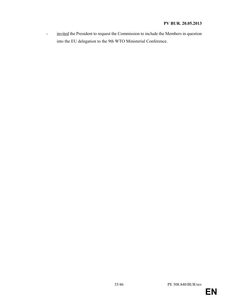- invited the President to request the Commission to include the Members in question into the EU delegation to the 9th WTO Ministerial Conference.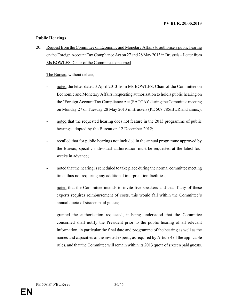#### Public Hearings

20. Request from the Committee on Economic and Monetary Affairs to authorise a public hearing on the Foreign Account Tax Compliance Act on 27 and 28 May 2013 in Brussels – Letter from Ms BOWLES, Chair of the Committee concerned

- noted the letter dated 3 April 2013 from Ms BOWLES, Chair of the Committee on Economic and Monetary Affairs, requesting authorisation to hold a public hearing on the "Foreign Account Tax Compliance Act (FATCA)" during the Committee meeting on Monday 27 or Tuesday 28 May 2013 in Brussels (PE 508.785/BUR and annex);
- noted that the requested hearing does not feature in the 2013 programme of public hearings adopted by the Bureau on 12 December 2012;
- recalled that for public hearings not included in the annual programme approved by the Bureau, specific individual authorisation must be requested at the latest four weeks in advance;
- noted that the hearing is scheduled to take place during the normal committee meeting time, thus not requiring any additional interpretation facilities;
- noted that the Committee intends to invite five speakers and that if any of these experts requires reimbursement of costs, this would fall within the Committee's annual quota of sixteen paid guests;
- granted the authorisation requested, it being understood that the Committee concerned shall notify the President prior to the public hearing of all relevant information, in particular the final date and programme of the hearing as well as the names and capacities of the invited experts, as required by Article 4 of the applicable rules, and that the Committee will remain within its 2013 quota of sixteen paid guests.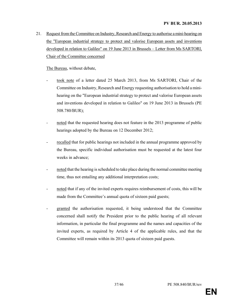21. Request from the Committee on Industry, Research and Energy to authorise a mini-hearing on the "European industrial strategy to protect and valorise European assets and inventions developed in relation to Galileo" on 19 June 2013 in Brussels – Letter from Ms SARTORI, Chair of the Committee concerned

- took note of a letter dated 25 March 2013, from Ms SARTORI, Chair of the Committee on Industry, Research and Energy requesting authorisation to hold a minihearing on the "European industrial strategy to protect and valorise European assets and inventions developed in relation to Galileo" on 19 June 2013 in Brussels (PE 508.780/BUR);
- noted that the requested hearing does not feature in the 2013 programme of public hearings adopted by the Bureau on 12 December 2012;
- recalled that for public hearings not included in the annual programme approved by the Bureau, specific individual authorisation must be requested at the latest four weeks in advance;
- noted that the hearing is scheduled to take place during the normal committee meeting time, thus not entailing any additional interpretation costs;
- noted that if any of the invited experts requires reimbursement of costs, this will be made from the Committee's annual quota of sixteen paid guests;
- granted the authorisation requested, it being understood that the Committee concerned shall notify the President prior to the public hearing of all relevant information, in particular the final programme and the names and capacities of the invited experts, as required by Article 4 of the applicable rules, and that the Committee will remain within its 2013 quota of sixteen paid guests.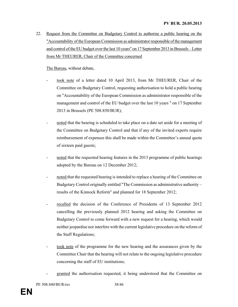22. Request from the Committee on Budgetary Control to authorise a public hearing on the "Accountability of the European Commission as administrator responsible of the management and control of the EU budget over the last 10 years" on 17 September 2013 in Brussels – Letter from Mr THEURER, Chair of the Committee concerned

- took note of a letter dated 10 April 2013, from Mr THEURER, Chair of the Committee on Budgetary Control, requesting authorisation to hold a public hearing on "Accountability of the European Commission as administrator responsible of the management and control of the EU budget over the last 10 years " on 17 September 2013 in Brussels (PE 508.850/BUR);
- noted that the hearing is scheduled to take place on a date set aside for a meeting of the Committee on Budgetary Control and that if any of the invited experts require reimbursement of expenses this shall be made within the Committee's annual quota of sixteen paid guests;
- noted that the requested hearing features in the 2013 programme of public hearings adopted by the Bureau on 12 December 2012;
- noted that the requested hearing is intended to replace a hearing of the Committee on Budgetary Control originally entitled "The Commission as administrative authority – results of the Kinnock Reform" and planned for 18 September 2012;
- recalled the decision of the Conference of Presidents of 13 September 2012 cancelling the previously planned 2012 hearing and asking the Committee on Budgetary Control to come forward with a new request for a hearing, which would neither jeopardise nor interfere with the current legislative procedure on the reform of the Staff Regulations;
- took note of the programme for the new hearing and the assurances given by the Committee Chair that the hearing will not relate to the ongoing legislative procedure concerning the staff of EU institutions;
- granted the authorisation requested, it being understood that the Committee on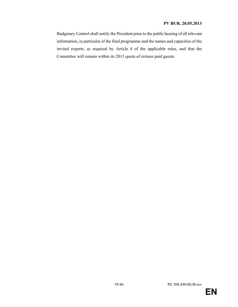#### PV BUR. 20.05.2013

Budgetary Control shall notify the President prior to the public hearing of all relevant information, in particular of the final programme and the names and capacities of the invited experts, as required by Article 4 of the applicable rules, and that the Committee will remain within its 2013 quota of sixteen paid guests.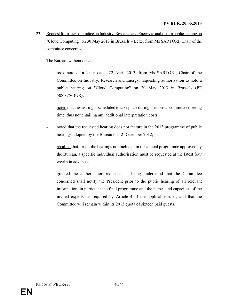23. Request from the Committee on Industry, Research and Energy to authorise a public hearing on "Cloud Computing" on 30 May 2013 in Brussels – Letter from Ms SARTORI, Chair of the committee concerned

The Bureau, without debate,

- took note of a letter dated 22 April 2013, from Ms SARTORI, Chair of the Committee on Industry, Research and Energy, requesting authorisation to hold a public hearing on "Cloud Computing" on 30 May 2013 in Brussels (PE 508.875/BUR);
- noted that the hearing is scheduled to take place during the normal committee meeting time, thus not entailing any additional interpretation costs;
- noted that the requested hearing does not feature in the 2013 programme of public hearings adopted by the Bureau on 12 December 2012;
- recalled that for public hearings not included in the annual programme approved by the Bureau, a specific individual authorisation must be requested at the latest four weeks in advance;
- granted the authorisation requested, it being understood that the Committee concerned shall notify the President prior to the public hearing of all relevant information, in particular the final programme and the names and capacities of the invited experts, as required by Article 4 of the applicable rules, and that the Committee will remain within its 2013 quota of sixteen paid guests.

PE 508.840/BUR/rev 40/46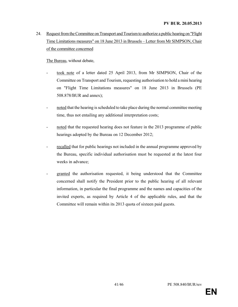24. Request from the Committee on Transport and Tourism to authorize a public hearing on "Flight Time Limitations measures" on 18 June 2013 in Brussels – Letter from Mr SIMPSON, Chair of the committee concerned

The Bureau, without debate,

- took note of a letter dated 25 April 2013, from Mr SIMPSON, Chair of the Committee on Transport and Tourism, requesting authorisation to hold a mini hearing on "Flight Time Limitations measures" on 18 June 2013 in Brussels (PE 508.878/BUR and annex);
- noted that the hearing is scheduled to take place during the normal committee meeting time, thus not entailing any additional interpretation costs;
- noted that the requested hearing does not feature in the 2013 programme of public hearings adopted by the Bureau on 12 December 2012;
- recalled that for public hearings not included in the annual programme approved by the Bureau, specific individual authorisation must be requested at the latest four weeks in advance;
- granted the authorisation requested, it being understood that the Committee concerned shall notify the President prior to the public hearing of all relevant information, in particular the final programme and the names and capacities of the invited experts, as required by Article 4 of the applicable rules, and that the Committee will remain within its 2013 quota of sixteen paid guests.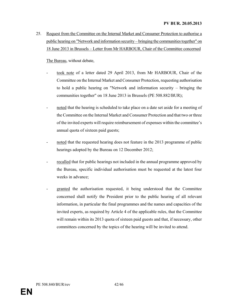25. Request from the Committee on the Internal Market and Consumer Protection to authorise a public hearing on "Network and information security – bringing the communities together" on 18 June 2013 in Brussels – Letter from Mr HARBOUR, Chair of the Committee concerned

- took note of a letter dated 29 April 2013, from Mr HARBOUR, Chair of the Committee on the Internal Market and Consumer Protection, requesting authorisation to hold a public hearing on "Network and information security – bringing the communities together" on 18 June 2013 in Brussels (PE 508.882/BUR);
- noted that the hearing is scheduled to take place on a date set aside for a meeting of the Committee on the Internal Market and Consumer Protection and that two or three of the invited experts will require reimbursement of expenses within the committee's annual quota of sixteen paid guests;
- noted that the requested hearing does not feature in the 2013 programme of public hearings adopted by the Bureau on 12 December 2012;
- recalled that for public hearings not included in the annual programme approved by the Bureau, specific individual authorisation must be requested at the latest four weeks in advance;
- granted the authorisation requested, it being understood that the Committee concerned shall notify the President prior to the public hearing of all relevant information, in particular the final programmes and the names and capacities of the invited experts, as required by Article 4 of the applicable rules, that the Committee will remain within its 2013 quota of sixteen paid guests and that, if necessary, other committees concerned by the topics of the hearing will be invited to attend.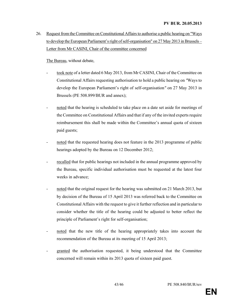26. Request from the Committee on Constitutional Affairs to authorise a public hearing on "Ways to develop the European Parliament's right of self-organisation" on 27 May 2013 in Brussels – Letter from Mr CASINI, Chair of the committee concerned

- took note of a letter dated 6 May 2013, from Mr CASINI, Chair of the Committee on Constitutional Affairs requesting authorisation to hold a public hearing on "Ways to develop the European Parliament's right of self-organisation" on 27 May 2013 in Brussels (PE 508.899/BUR and annex);
- noted that the hearing is scheduled to take place on a date set aside for meetings of the Committee on Constitutional Affairs and that if any of the invited experts require reimbursement this shall be made within the Committee's annual quota of sixteen paid guests;
- noted that the requested hearing does not feature in the 2013 programme of public hearings adopted by the Bureau on 12 December 2012;
- recalled that for public hearings not included in the annual programme approved by the Bureau, specific individual authorisation must be requested at the latest four weeks in advance;
- noted that the original request for the hearing was submitted on 21 March 2013, but by decision of the Bureau of 15 April 2013 was referred back to the Committee on Constitutional Affairs with the request to give it further reflection and in particular to consider whether the title of the hearing could be adjusted to better reflect the principle of Parliament's right for self-organisation;
- noted that the new title of the hearing appropriately takes into account the recommendation of the Bureau at its meeting of 15 April 2013;
- granted the authorisation requested, it being understood that the Committee concerned will remain within its 2013 quota of sixteen paid guest.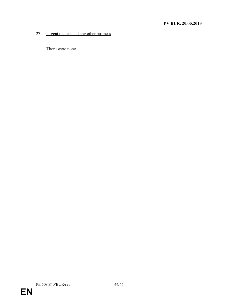#### 27. Urgent matters and any other business

There were none.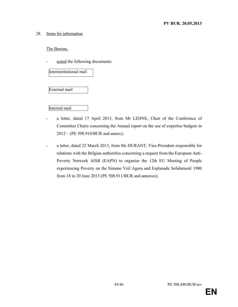#### 28. Items for information

The Bureau,

noted the following documents:

Interinstitutional mail

External mail

Internal mail

- a letter, dated 17 April 2013, from Mr LEHNE, Chair of the Conference of Committee Chairs concerning the Annual report on the use of expertise budgets in 2012 – (PE 508.910/BUR and annex);
- a letter, dated 22 March 2013, from Ms DURANT, Vice-President responsible for relations with the Belgian authorities concerning a request from the European Anti-Poverty Network AISB (EAPN) to organise the 12th EU Meeting of People experiencing Poverty on the Simone Veil Agora and Esplanade Solidarność 1980 from 18 to 20 June 2013 (PE 508.911/BUR and annexes);